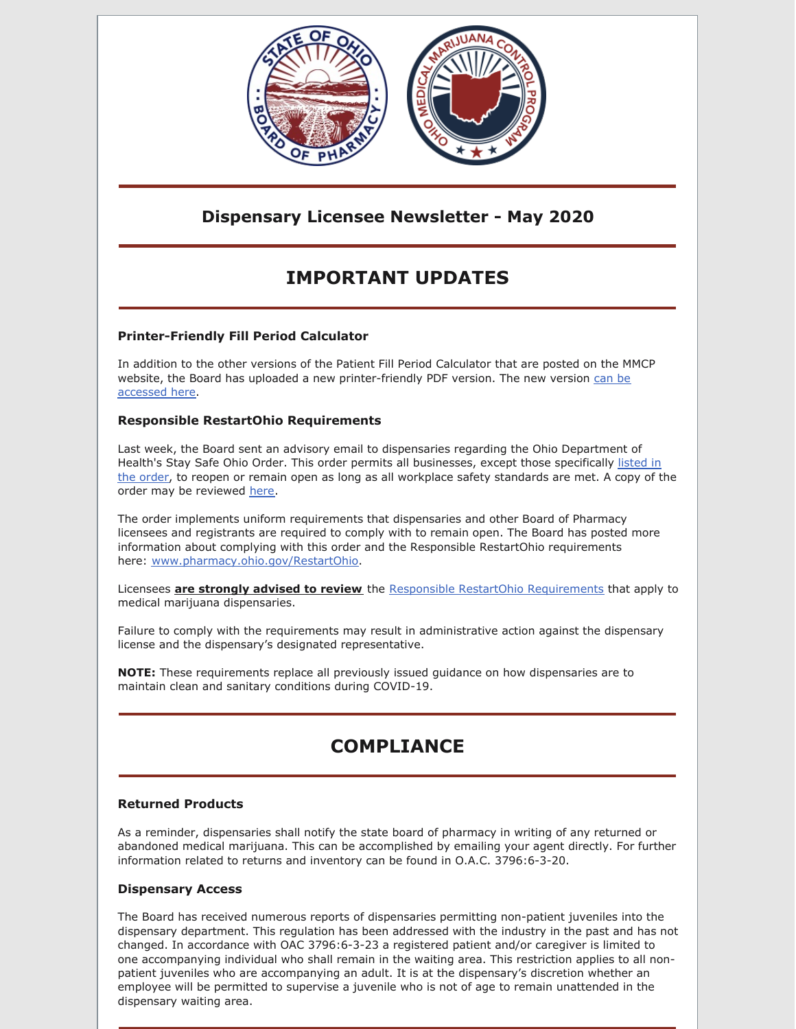

### **Dispensary Licensee Newsletter - May 2020**

# **IMPORTANT UPDATES**

### **Printer-Friendly Fill Period Calculator**

In addition to the other versions of the Patient Fill Period Calculator that are posted on the MMCP website, the Board has uploaded a new [printer-friendly](https://www.medicalmarijuana.ohio.gov/Documents/90DaySupply/Documents/Patient Fill Period Calculator - Adobe PDF Version.pdf) PDF version. The new version can be accessed here.

#### **Responsible RestartOhio Requirements**

Last week, the Board sent an advisory email to dispensaries regarding the Ohio Department of Health's Stay Safe Ohio Order. This order permits all [businesses,](https://gcc01.safelinks.protection.outlook.com/?url=https%3A%2F%2Fcoronavirus.ohio.gov%2Fwps%2Fportal%2Fgov%2Fcovid-19%2Fresponsible-restart-ohio%2FContinued-Business-Closures%2F&data=02%7C01%7Cgrant.miller%40pharmacy.ohio.gov%7Cc59ea8db5f954194209a08d7f3801776%7C50f8fcc494d84f0784eb36ed57c7c8a2%7C0%7C1%7C637245603783187868&sdata=wXe%2B%2FsTgmOC%2FOfkZj6v7dKJEi3m4JOnEiAa27qC3xwA%3D&reserved=0) except those specifically listed in the order, to reopen or remain open as long as all workplace safety standards are met. A copy of the order may be reviewed [here](https://gcc01.safelinks.protection.outlook.com/?url=https%3A%2F%2Fcoronavirus.ohio.gov%2Fstatic%2Fpublicorders%2FDirectors-Stay-Safe-Ohio-Order.pdf&data=02%7C01%7Cgrant.miller%40pharmacy.ohio.gov%7Cc59ea8db5f954194209a08d7f3801776%7C50f8fcc494d84f0784eb36ed57c7c8a2%7C0%7C1%7C637245603783197857&sdata=EIPSeszt2T0dZtZd4qYaJ7Pz%2B3sD0Aqgigwpfzb3vOs%3D&reserved=0).

The order implements uniform requirements that dispensaries and other Board of Pharmacy licensees and registrants are required to comply with to remain open. The Board has posted more information about complying with this order and the Responsible RestartOhio requirements here: [www.pharmacy.ohio.gov/RestartOhio](https://gcc01.safelinks.protection.outlook.com/?url=http%3A%2F%2Fwww.pharmacy.ohio.gov%2FRestartOhio&data=02%7C01%7Cgrant.miller%40pharmacy.ohio.gov%7Cc59ea8db5f954194209a08d7f3801776%7C50f8fcc494d84f0784eb36ed57c7c8a2%7C0%7C1%7C637245603783197857&sdata=0b6eh1sCrgQXsINTIHJPNvdCozd9QCNZbgG2YSFloiw%3D&reserved=0).

Licensees **are strongly advised to review** the Responsible RestartOhio [Requirements](http://www.pharmacy.ohio.gov/restartohio) that apply to medical marijuana dispensaries.

Failure to comply with the requirements may result in administrative action against the dispensary license and the dispensary's designated representative.

**NOTE:** These requirements replace all previously issued guidance on how dispensaries are to maintain clean and sanitary conditions during COVID-19.

# **COMPLIANCE**

### **Returned Products**

As a reminder, dispensaries shall notify the state board of pharmacy in writing of any returned or abandoned medical marijuana. This can be accomplished by emailing your agent directly. For further information related to returns and inventory can be found in O.A.C. 3796:6-3-20.

#### **Dispensary Access**

The Board has received numerous reports of dispensaries permitting non-patient juveniles into the dispensary department. This regulation has been addressed with the industry in the past and has not changed. In accordance with OAC 3796:6-3-23 a registered patient and/or caregiver is limited to one accompanying individual who shall remain in the waiting area. This restriction applies to all nonpatient juveniles who are accompanying an adult. It is at the dispensary's discretion whether an employee will be permitted to supervise a juvenile who is not of age to remain unattended in the dispensary waiting area.